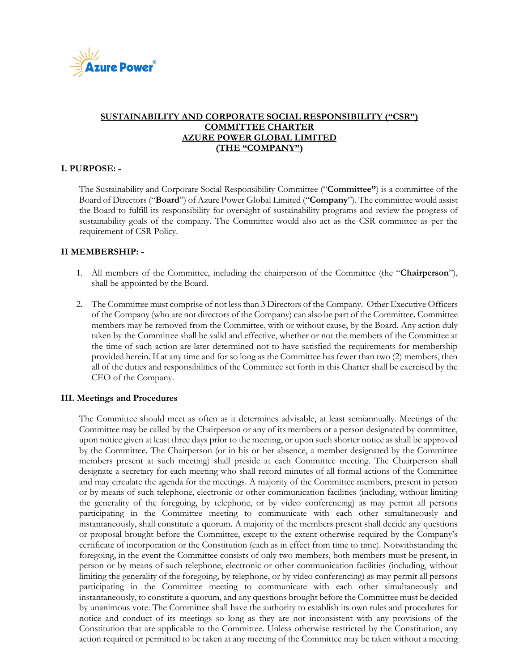

# **SUSTAINABILITY AND CORPORATE SOCIAL RESPONSIBILITY ("CSR") COMMITTEE CHARTER AZURE POWER GLOBAL LIMITED (THE "COMPANY")**

## **I. PURPOSE: -**

The Sustainability and Corporate Social Responsibility Committee ("**Committee"**) is a committee of the Board of Directors ("**Board**") of Azure Power Global Limited ("**Company**"). The committee would assist the Board to fulfill its responsibility for oversight of sustainability programs and review the progress of sustainability goals of the company. The Committee would also act as the CSR committee as per the requirement of CSR Policy.

## **II MEMBERSHIP: -**

- 1. All members of the Committee, including the chairperson of the Committee (the "**Chairperson**"), shall be appointed by the Board.
- 2. The Committee must comprise of not less than 3 Directors of the Company. Other Executive Officers of the Company (who are not directors of the Company) can also be part of the Committee. Committee members may be removed from the Committee, with or without cause, by the Board. Any action duly taken by the Committee shall be valid and effective, whether or not the members of the Committee at the time of such action are later determined not to have satisfied the requirements for membership provided herein. If at any time and for so long as the Committee has fewer than two (2) members, then all of the duties and responsibilities of the Committee set forth in this Charter shall be exercised by the CEO of the Company.

#### **III. Meetings and Procedures**

The Committee should meet as often as it determines advisable, at least semiannually. Meetings of the Committee may be called by the Chairperson or any of its members or a person designated by committee, upon notice given at least three days prior to the meeting, or upon such shorter notice as shall be approved by the Committee. The Chairperson (or in his or her absence, a member designated by the Committee members present at such meeting) shall preside at each Committee meeting. The Chairperson shall designate a secretary for each meeting who shall record minutes of all formal actions of the Committee and may circulate the agenda for the meetings. A majority of the Committee members, present in person or by means of such telephone, electronic or other communication facilities (including, without limiting the generality of the foregoing, by telephone, or by video conferencing) as may permit all persons participating in the Committee meeting to communicate with each other simultaneously and instantaneously, shall constitute a quorum. A majority of the members present shall decide any questions or proposal brought before the Committee, except to the extent otherwise required by the Company's certificate of incorporation or the Constitution (each as in effect from time to time). Notwithstanding the foregoing, in the event the Committee consists of only two members, both members must be present, in person or by means of such telephone, electronic or other communication facilities (including, without limiting the generality of the foregoing, by telephone, or by video conferencing) as may permit all persons participating in the Committee meeting to communicate with each other simultaneously and instantaneously, to constitute a quorum, and any questions brought before the Committee must be decided by unanimous vote. The Committee shall have the authority to establish its own rules and procedures for notice and conduct of its meetings so long as they are not inconsistent with any provisions of the Constitution that are applicable to the Committee. Unless otherwise restricted by the Constitution, any action required or permitted to be taken at any meeting of the Committee may be taken without a meeting